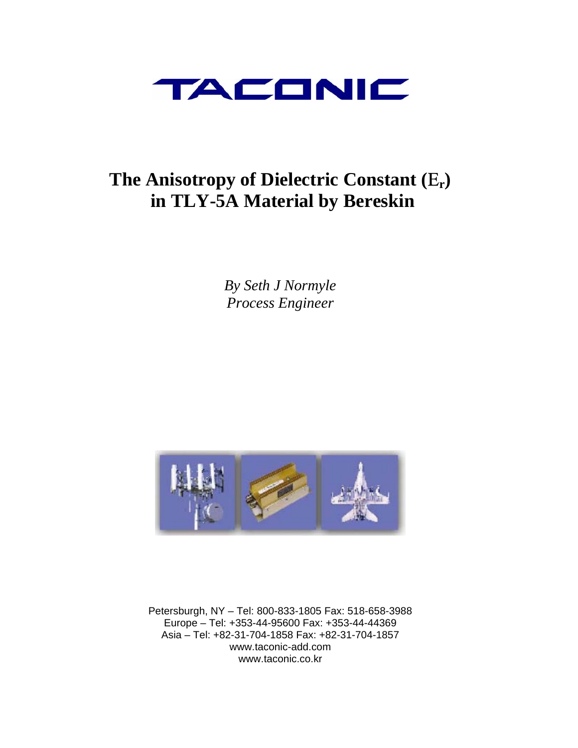

# **The Anisotropy of Dielectric Constant (**Ε**r) in TLY-5A Material by Bereskin**

*By Seth J Normyle Process Engineer* 



Petersburgh, NY – Tel: 800-833-1805 Fax: 518-658-3988 Europe – Tel: +353-44-95600 Fax: +353-44-44369 Asia – Tel: +82-31-704-1858 Fax: +82-31-704-1857 www.taconic-add.com www.taconic.co.kr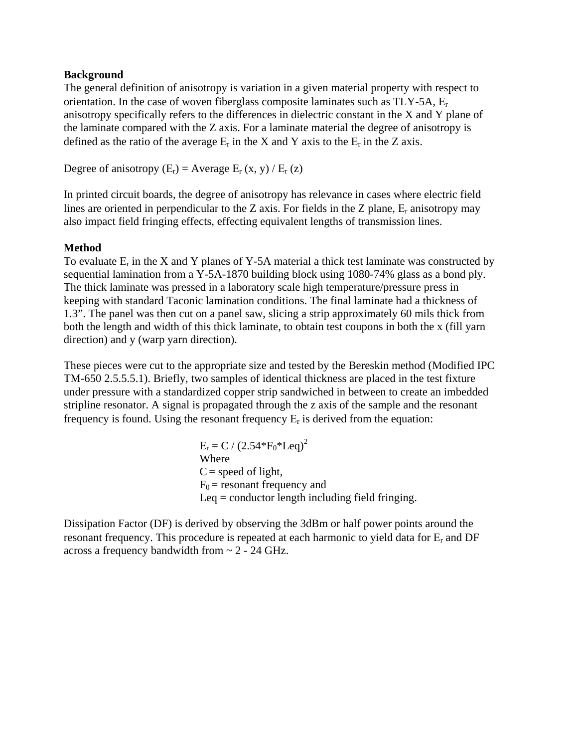### **Background**

The general definition of anisotropy is variation in a given material property with respect to orientation. In the case of woven fiberglass composite laminates such as  $TLY-5A$ ,  $E_r$ anisotropy specifically refers to the differences in dielectric constant in the X and Y plane of the laminate compared with the Z axis. For a laminate material the degree of anisotropy is defined as the ratio of the average  $E_r$  in the X and Y axis to the  $E_r$  in the Z axis.

Degree of anisotropy  $(E_r)$  = Average  $E_r(x, y)$  /  $E_r(z)$ 

In printed circuit boards, the degree of anisotropy has relevance in cases where electric field lines are oriented in perpendicular to the Z axis. For fields in the Z plane,  $E_r$  anisotropy may also impact field fringing effects, effecting equivalent lengths of transmission lines.

# **Method**

To evaluate  $E_r$  in the X and Y planes of Y-5A material a thick test laminate was constructed by sequential lamination from a Y-5A-1870 building block using 1080-74% glass as a bond ply. The thick laminate was pressed in a laboratory scale high temperature/pressure press in keeping with standard Taconic lamination conditions. The final laminate had a thickness of 1.3". The panel was then cut on a panel saw, slicing a strip approximately 60 mils thick from both the length and width of this thick laminate, to obtain test coupons in both the x (fill yarn direction) and y (warp yarn direction).

These pieces were cut to the appropriate size and tested by the Bereskin method (Modified IPC TM-650 2.5.5.5.1). Briefly, two samples of identical thickness are placed in the test fixture under pressure with a standardized copper strip sandwiched in between to create an imbedded stripline resonator. A signal is propagated through the z axis of the sample and the resonant frequency is found. Using the resonant frequency  $E_r$  is derived from the equation:

> $E_r = C / (2.54*F_0*Leq)^2$  Where  $C = speed of light,$  $F_0$  = resonant frequency and Leq  $=$  conductor length including field fringing.

Dissipation Factor (DF) is derived by observing the 3dBm or half power points around the resonant frequency. This procedure is repeated at each harmonic to yield data for  $E_r$  and DF across a frequency bandwidth from ~ 2 - 24 GHz.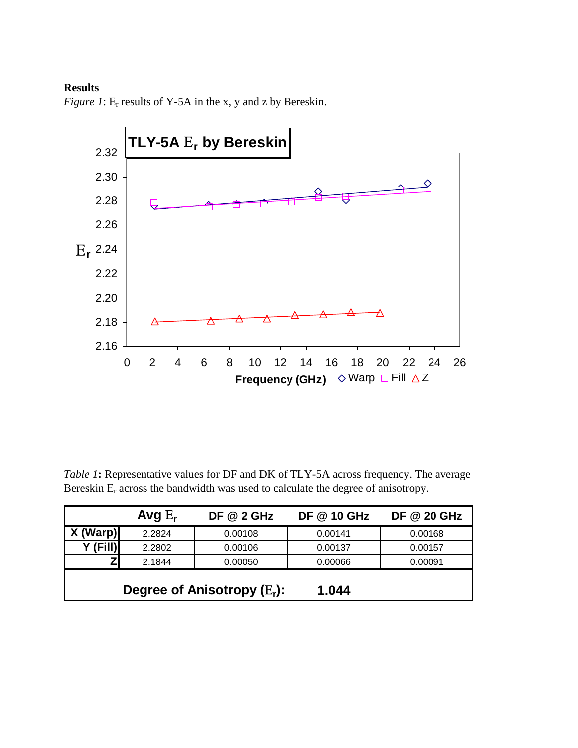# **Results**



*Figure 1*: E<sub>r</sub> results of Y-5A in the x, y and z by Bereskin.

*Table 1***:** Representative values for DF and DK of TLY-5A across frequency. The average Bereskin  $E_r$  across the bandwidth was used to calculate the degree of anisotropy.

|                                         | Avg $E_r$ | <b>DF @ 2 GHz</b> | <b>DF @ 10 GHz</b> | <b>DF @ 20 GHz</b> |
|-----------------------------------------|-----------|-------------------|--------------------|--------------------|
| X (Warp)                                | 2.2824    | 0.00108           | 0.00141            | 0.00168            |
|                                         | 2.2802    | 0.00106           | 0.00137            | 0.00157            |
|                                         | 2.1844    | 0.00050           | 0.00066            | 0.00091            |
| Degree of Anisotropy $(E_r)$ :<br>1.044 |           |                   |                    |                    |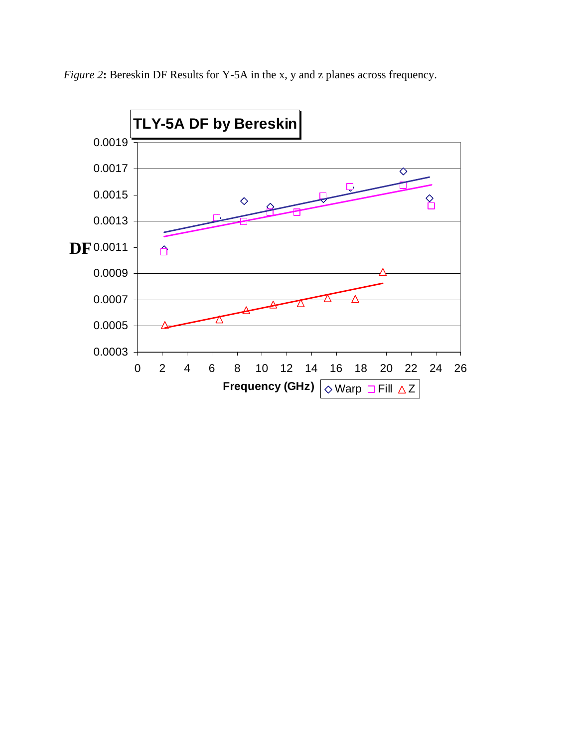

*Figure 2***:** Bereskin DF Results for Y-5A in the x, y and z planes across frequency.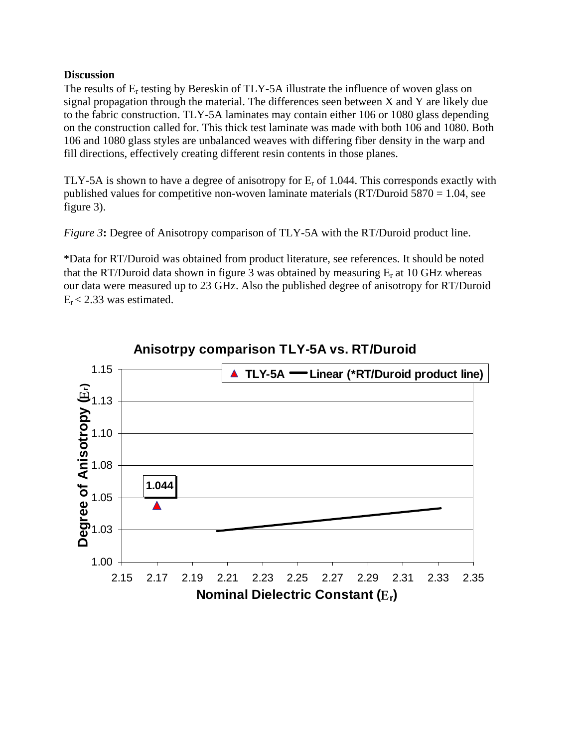### **Discussion**

The results of  $E_r$  testing by Bereskin of TLY-5A illustrate the influence of woven glass on signal propagation through the material. The differences seen between X and Y are likely due to the fabric construction. TLY-5A laminates may contain either 106 or 1080 glass depending on the construction called for. This thick test laminate was made with both 106 and 1080. Both 106 and 1080 glass styles are unbalanced weaves with differing fiber density in the warp and fill directions, effectively creating different resin contents in those planes.

TLY-5A is shown to have a degree of anisotropy for  $E_r$  of 1.044. This corresponds exactly with published values for competitive non-woven laminate materials  $(RT/Du$ roid 5870 = 1.04, see figure 3).

*Figure 3***:** Degree of Anisotropy comparison of TLY-5A with the RT/Duroid product line.

\*Data for RT/Duroid was obtained from product literature, see references. It should be noted that the RT/Duroid data shown in figure 3 was obtained by measuring  $E_r$  at 10 GHz whereas our data were measured up to 23 GHz. Also the published degree of anisotropy for RT/Duroid  $E_r < 2.33$  was estimated.